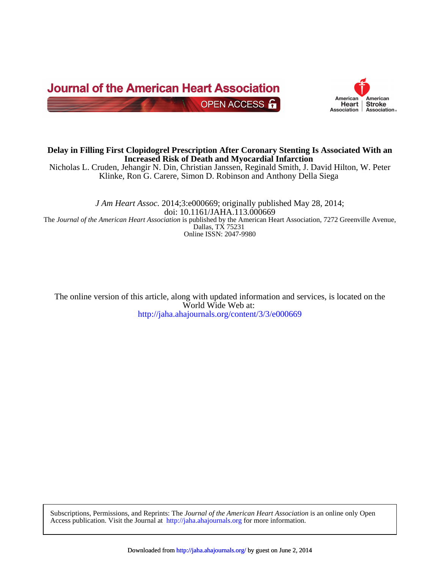



## **Increased Risk of Death and Myocardial Infarction Delay in Filling First Clopidogrel Prescription After Coronary Stenting Is Associated With an**

Klinke, Ron G. Carere, Simon D. Robinson and Anthony Della Siega Nicholas L. Cruden, Jehangir N. Din, Christian Janssen, Reginald Smith, J. David Hilton, W. Peter

Online ISSN: 2047-9980 Dallas, TX 75231 The *Journal of the American Heart Association* is published by the American Heart Association, 7272 Greenville Avenue, doi: 10.1161/JAHA.113.000669 *J Am Heart Assoc.* 2014;3:e000669; originally published May 28, 2014;

<http://jaha.ahajournals.org/content/3/3/e000669> World Wide Web at: The online version of this article, along with updated information and services, is located on the

Access publication. Visit the Journal at <http://jaha.ahajournals.org>for more information. Subscriptions, Permissions, and Reprints: The *Journal of the American Heart Association* is an online only Open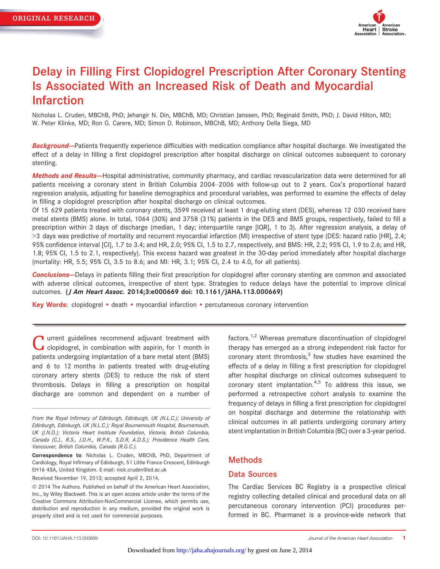

# Delay in Filling First Clopidogrel Prescription After Coronary Stenting Is Associated With an Increased Risk of Death and Myocardial Infarction

Nicholas L. Cruden, MBChB, PhD; Jehangir N. Din, MBChB, MD; Christian Janssen, PhD; Reginald Smith, PhD; J. David Hilton, MD; W. Peter Klinke, MD; Ron G. Carere, MD; Simon D. Robinson, MBChB, MD; Anthony Della Siega, MD

Background--Patients frequently experience difficulties with medication compliance after hospital discharge. We investigated the effect of a delay in filling a first clopidogrel prescription after hospital discharge on clinical outcomes subsequent to coronary stenting.

Methods and Results-Hospital administrative, community pharmacy, and cardiac revascularization data were determined for all patients receiving a coronary stent in British Columbia 2004–2006 with follow-up out to 2 years. Cox's proportional hazard regression analysis, adjusting for baseline demographics and procedural variables, was performed to examine the effects of delay in filling a clopidogrel prescription after hospital discharge on clinical outcomes.

Of 15 629 patients treated with coronary stents, 3599 received at least 1 drug-eluting stent (DES), whereas 12 030 received bare metal stents (BMS) alone. In total, 1064 (30%) and 3758 (31%) patients in the DES and BMS groups, respectively, failed to fill a prescription within 3 days of discharge (median, 1 day; interquartile range [IQR], 1 to 3). After regression analysis, a delay of >3 days was predictive of mortality and recurrent myocardial infarction (MI) irrespective of stent type (DES: hazard ratio [HR], 2.4; 95% confidence interval [CI], 1.7 to 3.4; and HR, 2.0; 95% CI, 1.5 to 2.7, respectively, and BMS: HR, 2.2; 95% CI, 1.9 to 2.6; and HR, 1.8; 95% CI, 1.5 to 2.1, respectively). This excess hazard was greatest in the 30-day period immediately after hospital discharge (mortality: HR, 5.5; 95% CI, 3.5 to 8.6; and MI: HR, 3.1; 95% CI, 2.4 to 4.0, for all patients).

**Conclusions**—Delays in patients filling their first prescription for clopidogrel after coronary stenting are common and associated with adverse clinical outcomes, irrespective of stent type. Strategies to reduce delays have the potential to improve clinical outcomes. (J Am Heart Assoc. 2014;3:e000669 doi: [10.1161/JAHA.113.000669\)](info:doi/10.1161/JAHA.113.000669)

Key Words: clopidogrel • death • myocardial infarction • percutaneous coronary intervention

**T** urrent guidelines recommend adjuvant treatment with clopidogrel, in combination with aspirin, for 1 month in patients undergoing implantation of a bare metal stent (BMS) and 6 to 12 months in patients treated with drug-eluting coronary artery stents (DES) to reduce the risk of stent thrombosis. Delays in filling a prescription on hospital discharge are common and dependent on a number of

From the Royal Infirmary of Edinburgh, Edinburgh, UK (N.L.C.); University of Edinburgh, Edinburgh, UK (N.L.C.); Royal Bournemouth Hospital, Bournemouth, UK (J.N.D.); Victoria Heart Institute Foundation, Victoria, British Columbia, Canada (C.J., R.S., J.D.H., W.P.K., S.D.R, A.D.S.); Providence Health Care, Vancouver, British Columbia, Canada (R.G.C.).

Correspondence to: Nicholas L. Cruden, MBChB, PhD, Department of Cardiology, Royal Infirmary of Edinburgh, 51 Little France Crescent, Edinburgh EH16 4SA, United Kingdom. E-mail: nick.cruden@ed.ac.uk

Received November 19, 2013; accepted April 2, 2014.

 $©$  2014 The Authors. Published on behalf of the American Heart Association, Inc., by Wiley Blackwell. This is an open access article under the terms of the [Creative Commons Attribution-NonCommercial](http://creativecommons.org/licenses/by-nc/3.0/) License, which permits use, distribution and reproduction in any medium, provided the original work is properly cited and is not used for commercial purposes.

factors.<sup>1,2</sup> Whereas premature discontinuation of clopidogrel therapy has emerged as a strong independent risk factor for coronary stent thrombosis, $3$  few studies have examined the effects of a delay in filling a first prescription for clopidogrel after hospital discharge on clinical outcomes subsequent to coronary stent implantation.<sup>4,5</sup> To address this issue, we performed a retrospective cohort analysis to examine the frequency of delays in filling a first prescription for clopidogrel on hospital discharge and determine the relationship with clinical outcomes in all patients undergoing coronary artery stent implantation in British Columbia (BC) over a 3-year period.

## Methods

#### Data Sources

The Cardiac Services BC Registry is a prospective clinical registry collecting detailed clinical and procedural data on all percutaneous coronary intervention (PCI) procedures performed in BC. Pharmanet is a province-wide network that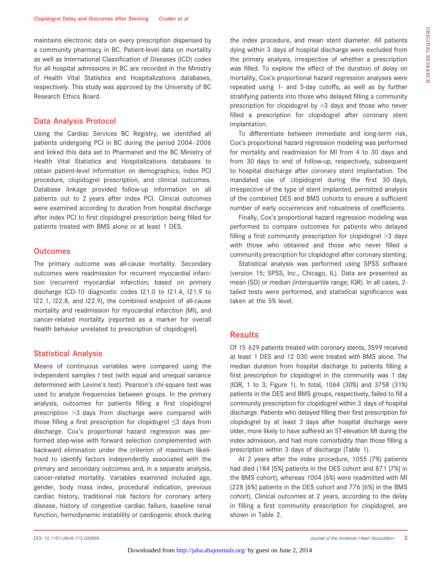maintains electronic data on every prescription dispensed by a community pharmacy in BC. Patient-level data on mortality as well as International Classification of Diseases (ICD) codes for all hospital admissions in BC are recorded in the Ministry of Health Vital Statistics and Hospitalizations databases, respectively. This study was approved by the University of BC Research Ethics Board.

#### Data Analysis Protocol

Using the Cardiac Services BC Registry, we identified all patients undergoing PCI in BC during the period 2004–2006 and linked this data set to Pharmanet and the BC Ministry of Health Vital Statistics and Hospitalizations databases to obtain patient-level information on demographics, index PCI procedure, clopidogrel prescription, and clinical outcomes. Database linkage provided follow-up information on all patients out to 2 years after index PCI. Clinical outcomes were examined according to duration from hospital discharge after index PCI to first clopidogrel prescription being filled for patients treated with BMS alone or at least 1 DES.

#### **Outcomes**

The primary outcome was all-cause mortality. Secondary outcomes were readmission for recurrent myocardial infarction (recurrent myocardial infarction; based on primary discharge ICD-10 diagnostic codes I21.0 to I21.4, I21.9 to I22.1, I22.8, and I22.9), the combined endpoint of all-cause mortality and readmission for myocardial infarction (MI), and cancer-related mortality (reported as a marker for overall health behavior unrelated to prescription of clopidogrel).

#### Statistical Analysis

Means of continuous variables were compared using the independent samples  $t$  test (with equal and unequal variance determined with Levine's test). Pearson's chi-square test was used to analyze frequencies between groups. In the primary analysis, outcomes for patients filling a first clopidogrel prescription >3 days from discharge were compared with those filling a first prescription for clopidogrel ≤3 days from discharge. Cox's proportional hazard regression was performed step-wise with forward selection complemented with backward elimination under the criterion of maximum likelihood to identify factors independently associated with the primary and secondary outcomes and, in a separate analysis, cancer-related mortality. Variables examined included age, gender, body mass index, procedural indication, previous cardiac history, traditional risk factors for coronary artery disease, history of congestive cardiac failure, baseline renal function, hemodynamic instability or cardiogenic shock during the index procedure, and mean stent diameter. All patients dying within 3 days of hospital discharge were excluded from the primary analysis, irrespective of whether a prescription was filled. To explore the effect of the duration of delay on mortality, Cox's proportional hazard regression analyses were repeated using 1- and 5-day cutoffs, as well as by further stratifying patients into those who delayed filling a community prescription for clopidogrel by >3 days and those who never filled a prescription for clopidogrel after coronary stent implantation.

To differentiate between immediate and long-term risk, Cox's proportional hazard regression modeling was performed for mortality and readmission for MI from 4 to 30 days and from 30 days to end of follow-up, respectively, subsequent to hospital discharge after coronary stent implantation. The mandated use of clopidogrel during the first 30 days, irrespective of the type of stent implanted, permitted analysis of the combined DES and BMS cohorts to ensure a sufficient number of early occurrences and robustness of coefficients.

Finally, Cox's proportional hazard regression modeling was performed to compare outcomes for patients who delayed filling a first community prescription for clopidogrel >3 days with those who obtained and those who never filled a community prescription for clopidogrel after coronary stenting.

Statistical analysis was performed using SPSS software (version 15; SPSS, Inc., Chicago, IL). Data are presented as mean (SD) or median (interquartile range; IQR). In all cases, 2 tailed tests were performed, and statistical significance was taken at the 5% level.

## Results

Of 15 629 patients treated with coronary stents, 3599 received at least 1 DES and 12 030 were treated with BMS alone. The median duration from hospital discharge to patients filling a first prescription for clopidogrel in the community was 1 day (IQR, 1 to 3; Figure 1). In total, 1064 (30%) and 3758 (31%) patients in the DES and BMS groups, respectively, failed to fill a community prescription for clopidogrel within 3 days of hospital discharge. Patients who delayed filling their first prescription for clopidogrel by at least 3 days after hospital discharge were older, more likely to have suffered an ST-elevation MI during the index admission, and had more comorbidity than those filling a prescription within 3 days of discharge (Table 1).

At 2 years after the index procedure, 1055 (7%) patients had died (184 [5%] patients in the DES cohort and 871 [7%] in the BMS cohort), whereas 1004 (6%) were readmitted with MI (228 [6%] patients in the DES cohort and 776 [6%] in the BMS cohort). Clinical outcomes at 2 years, according to the delay in filling a first community prescription for clopidogrel, are shown in Table 2.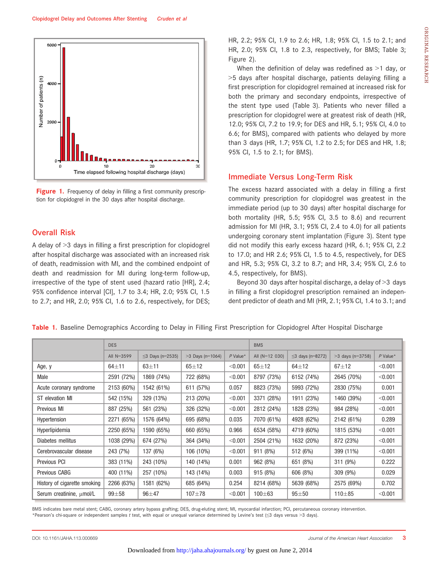

Figure 1. Frequency of delay in filling a first community prescription for clopidogrel in the 30 days after hospital discharge.

## Overall Risk

A delay of >3 days in filling a first prescription for clopidogrel after hospital discharge was associated with an increased risk of death, readmission with MI, and the combined endpoint of death and readmission for MI during long-term follow-up, irrespective of the type of stent used (hazard ratio [HR], 2.4; 95% confidence interval [CI], 1.7 to 3.4; HR, 2.0; 95% CI, 1.5 to 2.7; and HR, 2.0; 95% CI, 1.6 to 2.6, respectively, for DES; HR, 2.2; 95% CI, 1.9 to 2.6; HR, 1.8; 95% CI, 1.5 to 2.1; and HR, 2.0; 95% CI, 1.8 to 2.3, respectively, for BMS; Table 3; Figure 2).

When the definition of delay was redefined as >1 day, or >5 days after hospital discharge, patients delaying filling a first prescription for clopidogrel remained at increased risk for both the primary and secondary endpoints, irrespective of the stent type used (Table 3). Patients who never filled a prescription for clopidogrel were at greatest risk of death (HR, 12.0; 95% CI, 7.2 to 19.9; for DES and HR, 5.1; 95% CI, 4.0 to 6.6; for BMS), compared with patients who delayed by more than 3 days (HR, 1.7; 95% CI, 1.2 to 2.5; for DES and HR, 1.8; 95% CI, 1.5 to 2.1; for BMS).

#### Immediate Versus Long-Term Risk

The excess hazard associated with a delay in filling a first community prescription for clopidogrel was greatest in the immediate period (up to 30 days) after hospital discharge for both mortality (HR, 5.5; 95% CI, 3.5 to 8.6) and recurrent admission for MI (HR, 3.1; 95% CI, 2.4 to 4.0) for all patients undergoing coronary stent implantation (Figure 3). Stent type did not modify this early excess hazard (HR, 6.1; 95% CI, 2.2 to 17.0; and HR 2.6; 95% CI, 1.5 to 4.5, respectively, for DES and HR, 5.3; 95% CI, 3.2 to 8.7; and HR, 3.4; 95% CI, 2.6 to 4.5, respectively, for BMS).

Beyond 30 days after hospital discharge, a delay of >3 days in filling a first clopidogrel prescription remained an independent predictor of death and MI (HR, 2.1; 95% CI, 1.4 to 3.1; and

|                              | <b>DES</b>   |                  |                    |            | <b>BMS</b>     |                        |                    |            |
|------------------------------|--------------|------------------|--------------------|------------|----------------|------------------------|--------------------|------------|
|                              | All $N=3599$ | ≤3 Days (n=2535) | $>3$ Days (n=1064) | $P$ Value* | All (N=12 030) | $\leq$ 3 days (n=8272) | $>3$ days (n=3758) | $P$ Value* |
| Age, y                       | $64 + 11$    | $63 + 11$        | $65 + 12$          | < 0.001    | $65 + 12$      | $64 + 12$              | $67 + 12$          | < 0.001    |
| Male                         | 2591 (72%)   | 1869 (74%)       | 722 (68%)          | < 0.001    | 8797 (73%)     | 6152 (74%)             | 2645 (70%)         | < 0.001    |
| Acute coronary syndrome      | 2153 (60%)   | 1542 (61%)       | 611 (57%)          | 0.057      | 8823 (73%)     | 5993 (72%)             | 2830 (75%)         | 0.001      |
| ST elevation MI              | 542 (15%)    | 329 (13%)        | 213 (20%)          | < 0.001    | 3371 (28%)     | 1911 (23%)             | 1460 (39%)         | < 0.001    |
| Previous MI                  | 887 (25%)    | 561 (23%)        | 326 (32%)          | < 0.001    | 2812 (24%)     | 1828 (23%)             | 984 (28%)          | < 0.001    |
| Hypertension                 | 2271 (65%)   | 1576 (64%)       | 695 (68%)          | 0.035      | 7070 (61%)     | 4928 (62%)             | 2142 (61%)         | 0.289      |
| Hyperlipidemia               | 2250 (65%)   | 1590 (65%)       | 660 (65%)          | 0.966      | 6534 (58%)     | 4719 (60%)             | 1815 (53%)         | < 0.001    |
| Diabetes mellitus            | 1038 (29%)   | 674 (27%)        | 364 (34%)          | < 0.001    | 2504 (21%)     | 1632 (20%)             | 872 (23%)          | < 0.001    |
| Cerebrovascular disease      | 243 (7%)     | 137 (6%)         | 106 (10%)          | < 0.001    | 911 (8%)       | 512 (6%)               | 399 (11%)          | < 0.001    |
| <b>Previous PCI</b>          | 383 (11%)    | 243 (10%)        | 140 (14%)          | 0.001      | 962 (8%)       | 651 (8%)               | 311 (9%)           | 0.222      |
| <b>Previous CABG</b>         | 400 (11%)    | 257 (10%)        | 143 (14%)          | 0.003      | 915 (8%)       | 606 (8%)               | 309 (9%)           | 0.029      |
| History of cigarette smoking | 2266 (63%)   | 1581 (62%)       | 685 (64%)          | 0.254      | 8214 (68%)     | 5639 (68%)             | 2575 (69%)         | 0.702      |
| Serum creatinine, µmol/L     | $99 + 58$    | $96 + 47$        | $107 + 78$         | < 0.001    | $100 + 63$     | $95 + 50$              | $110 + 85$         | < 0.001    |

Table 1. Baseline Demographics According to Delay in Filling First Prescription for Clopidogrel After Hospital Discharge

BMS indicates bare metal stent; CABG, coronary artery bypass grafting; DES, drug-eluting stent; MI, myocardial infarction; PCI, percutaneous coronary intervention. \*Pearson's chi-square or independent samples t test, with equal or unequal variance determined by Levine's test (≤3 days versus >3 days).

ORIGINAL

RESEARCH

ORIGINAL RESEARCH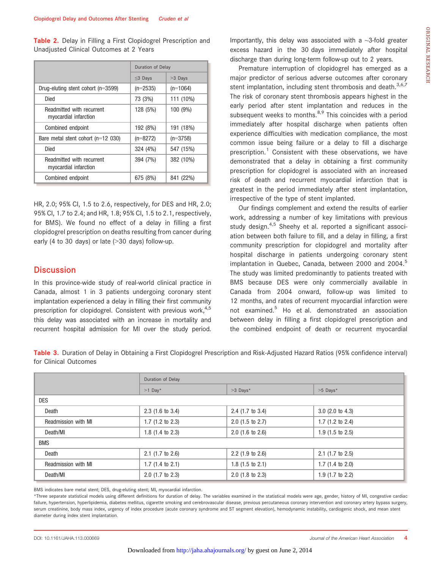Table 2. Delay in Filling a First Clopidogrel Prescription and Unadjusted Clinical Outcomes at 2 Years

|                                                    | Duration of Delay |            |  |
|----------------------------------------------------|-------------------|------------|--|
|                                                    | $\leq$ 3 Days     | >3 Days    |  |
| Drug-eluting stent cohort (n=3599)                 | $(n=2535)$        | $(n=1064)$ |  |
| Died                                               | 73 (3%)           | 111 (10%)  |  |
| Readmitted with recurrent<br>myocardial infarction | 128 (5%)          | 100 (9%)   |  |
| Combined endpoint                                  | 192 (8%)          | 191 (18%)  |  |
| Bare metal stent cohort $(n=12 030)$               | $(n=8272)$        | $(n=3758)$ |  |
| Died                                               | 324 (4%)          | 547 (15%)  |  |
| Readmitted with recurrent<br>myocardial infarction | 394 (7%)          | 382 (10%)  |  |
| Combined endpoint                                  | 675 (8%)          | 841 (22%)  |  |

HR, 2.0; 95% CI, 1.5 to 2.6, respectively, for DES and HR, 2.0; 95% CI, 1.7 to 2.4; and HR, 1.8; 95% CI, 1.5 to 2.1, respectively, for BMS). We found no effect of a delay in filling a first clopidogrel prescription on deaths resulting from cancer during early (4 to 30 days) or late (>30 days) follow-up.

## **Discussion**

In this province-wide study of real-world clinical practice in Canada, almost 1 in 3 patients undergoing coronary stent implantation experienced a delay in filling their first community prescription for clopidogrel. Consistent with previous work,  $4.5$ this delay was associated with an increase in mortality and recurrent hospital admission for MI over the study period.

Importantly, this delay was associated with a  $\sim$ 3-fold greater excess hazard in the 30 days immediately after hospital discharge than during long-term follow-up out to 2 years.

Premature interruption of clopidogrel has emerged as a major predictor of serious adverse outcomes after coronary stent implantation, including stent thrombosis and death.<sup>3,6,7</sup> The risk of coronary stent thrombosis appears highest in the early period after stent implantation and reduces in the subsequent weeks to months. $8,9$  This coincides with a period immediately after hospital discharge when patients often experience difficulties with medication compliance, the most common issue being failure or a delay to fill a discharge prescription.<sup>1</sup> Consistent with these observations, we have demonstrated that a delay in obtaining a first community prescription for clopidogrel is associated with an increased risk of death and recurrent myocardial infarction that is greatest in the period immediately after stent implantation, irrespective of the type of stent implanted.

Our findings complement and extend the results of earlier work, addressing a number of key limitations with previous study design.<sup>4,5</sup> Sheehy et al. reported a significant association between both failure to fill, and a delay in filling, a first community prescription for clopidogrel and mortality after hospital discharge in patients undergoing coronary stent implantation in Quebec, Canada, between 2000 and 2004.<sup>5</sup> The study was limited predominantly to patients treated with BMS because DES were only commercially available in Canada from 2004 onward, follow-up was limited to 12 months, and rates of recurrent myocardial infarction were not examined.<sup>5</sup> Ho et al. demonstrated an association between delay in filling a first clopidogrel prescription and the combined endpoint of death or recurrent myocardial

Table 3. Duration of Delay in Obtaining a First Clopidogrel Prescription and Risk-Adjusted Hazard Ratios (95% confidence interval) for Clinical Outcomes

|                     | Duration of Delay           |                             |                             |  |  |  |  |  |
|---------------------|-----------------------------|-----------------------------|-----------------------------|--|--|--|--|--|
|                     | $>1$ Day*                   | >3 Days*                    | $>5$ Days*                  |  |  |  |  |  |
| <b>DES</b>          |                             |                             |                             |  |  |  |  |  |
| Death               | $2.3$ (1.6 to 3.4)          | $2.4$ (1.7 to 3.4)          | $3.0$ (2.0 to 4.3)          |  |  |  |  |  |
| Readmission with MI | $1.7$ (1.2 to 2.3)          | $2.0$ (1.5 to 2.7)          | $1.7$ (1.2 to 2.4)          |  |  |  |  |  |
| Death/MI            | 1.8 $(1.4 \text{ to } 2.3)$ | $2.0$ (1.6 to 2.6)          | $1.9$ (1.5 to 2.5)          |  |  |  |  |  |
| <b>BMS</b>          |                             |                             |                             |  |  |  |  |  |
| Death               | $2.1$ (1.7 to 2.6)          | $2.2$ (1.9 to 2.6)          | $2.1$ (1.7 to 2.5)          |  |  |  |  |  |
| Readmission with MI | 1.7 $(1.4 \text{ to } 2.1)$ | 1.8 $(1.5 \text{ to } 2.1)$ | 1.7 $(1.4 \text{ to } 2.0)$ |  |  |  |  |  |
| Death/MI            | $2.0$ (1.7 to 2.3)          | $2.0$ (1.8 to 2.3)          | $1.9$ (1.7 to 2.2)          |  |  |  |  |  |

BMS indicates bare metal stent; DES, drug-eluting stent; MI, myocardial infarction.

\*Three separate statistical models using different definitions for duration of delay. The variables examined in the statistical models were age, gender, history of MI, congestive cardiac failure, hypertension, hyperlipidemia, diabetes mellitus, cigarette smoking and cerebrovascular disease, previous percutaneous coronary intervention and coronary artery bypass surgery, serum creatinine, body mass index, urgency of index procedure (acute coronary syndrome and ST segment elevation), hemodynamic instability, cardiogenic shock, and mean stent diameter during index stent implantation.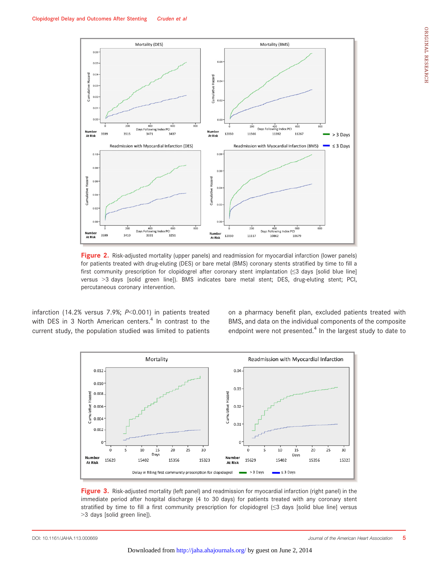

Figure 2. Risk-adjusted mortality (upper panels) and readmission for myocardial infarction (lower panels) for patients treated with drug-eluting (DES) or bare metal (BMS) coronary stents stratified by time to fill a first community prescription for clopidogrel after coronary stent implantation (≤3 days [solid blue line] versus >3 days [solid green line]). BMS indicates bare metal stent; DES, drug-eluting stent; PCI, percutaneous coronary intervention.

infarction (14.2% versus 7.9%; P<0.001) in patients treated with DES in 3 North American centers. $4$  In contrast to the current study, the population studied was limited to patients

on a pharmacy benefit plan, excluded patients treated with BMS, and data on the individual components of the composite endpoint were not presented. $4$  In the largest study to date to



Figure 3. Risk-adjusted mortality (left panel) and readmission for myocardial infarction (right panel) in the immediate period after hospital discharge (4 to 30 days) for patients treated with any coronary stent stratified by time to fill a first community prescription for clopidogrel (≤3 days [solid blue line] versus >3 days [solid green line]).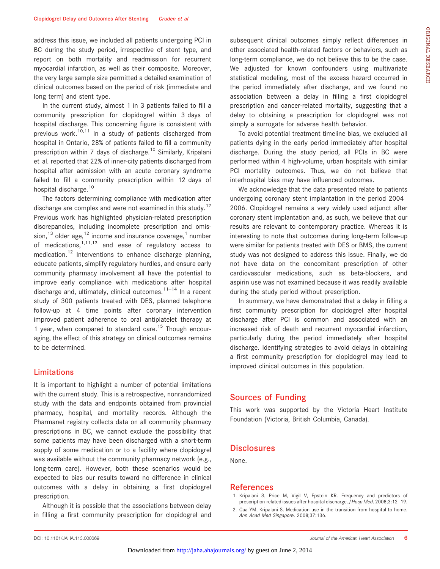address this issue, we included all patients undergoing PCI in BC during the study period, irrespective of stent type, and report on both mortality and readmission for recurrent myocardial infarction, as well as their composite. Moreover, the very large sample size permitted a detailed examination of clinical outcomes based on the period of risk (immediate and long term) and stent type.

In the current study, almost 1 in 3 patients failed to fill a community prescription for clopidogrel within 3 days of hospital discharge. This concerning figure is consistent with previous work.<sup>10,11</sup> In a study of patients discharged from hospital in Ontario, 28% of patients failed to fill a community prescription within 7 days of discharge.10 Similarly, Kripalani et al. reported that 22% of inner-city patients discharged from hospital after admission with an acute coronary syndrome failed to fill a community prescription within 12 days of hospital discharge.<sup>10</sup>

The factors determining compliance with medication after discharge are complex and were not examined in this study.<sup>12</sup> Previous work has highlighted physician-related prescription discrepancies, including incomplete prescription and omission, $^{13}$  older age, $^{12}$  income and insurance coverage, $^{1}$  number of medications,  $1,11,13$  and ease of regulatory access to medication.<sup>12</sup> Interventions to enhance discharge planning, educate patients, simplify regulatory hurdles, and ensure early community pharmacy involvement all have the potential to improve early compliance with medications after hospital discharge and, ultimately, clinical outcomes.<sup>11–14</sup> In a recent study of 300 patients treated with DES, planned telephone follow-up at 4 time points after coronary intervention improved patient adherence to oral antiplatelet therapy at 1 year, when compared to standard care.<sup>15</sup> Though encouraging, the effect of this strategy on clinical outcomes remains to be determined.

## Limitations

It is important to highlight a number of potential limitations with the current study. This is a retrospective, nonrandomized study with the data and endpoints obtained from provincial pharmacy, hospital, and mortality records. Although the Pharmanet registry collects data on all community pharmacy prescriptions in BC, we cannot exclude the possibility that some patients may have been discharged with a short-term supply of some medication or to a facility where clopidogrel was available without the community pharmacy network (e.g., long-term care). However, both these scenarios would be expected to bias our results toward no difference in clinical outcomes with a delay in obtaining a first clopidogrel prescription.

Although it is possible that the associations between delay in filling a first community prescription for clopidogrel and

subsequent clinical outcomes simply reflect differences in other associated health-related factors or behaviors, such as long-term compliance, we do not believe this to be the case. We adjusted for known confounders using multivariate statistical modeling, most of the excess hazard occurred in the period immediately after discharge, and we found no association between a delay in filling a first clopidogrel prescription and cancer-related mortality, suggesting that a delay to obtaining a prescription for clopidogrel was not simply a surrogate for adverse health behavior.

To avoid potential treatment timeline bias, we excluded all patients dying in the early period immediately after hospital discharge. During the study period, all PCIs in BC were performed within 4 high-volume, urban hospitals with similar PCI mortality outcomes. Thus, we do not believe that interhospital bias may have influenced outcomes.

We acknowledge that the data presented relate to patients undergoing coronary stent implantation in the period 2004– 2006. Clopidogrel remains a very widely used adjunct after coronary stent implantation and, as such, we believe that our results are relevant to contemporary practice. Whereas it is interesting to note that outcomes during long-term follow-up were similar for patients treated with DES or BMS, the current study was not designed to address this issue. Finally, we do not have data on the concomitant prescription of other cardiovascular medications, such as beta-blockers, and aspirin use was not examined because it was readily available during the study period without prescription.

In summary, we have demonstrated that a delay in filling a first community prescription for clopidogrel after hospital discharge after PCI is common and associated with an increased risk of death and recurrent myocardial infarction, particularly during the period immediately after hospital discharge. Identifying strategies to avoid delays in obtaining a first community prescription for clopidogrel may lead to improved clinical outcomes in this population.

## Sources of Funding

This work was supported by the Victoria Heart Institute Foundation (Victoria, British Columbia, Canada).

#### **Disclosures**

None.

#### References

- 1. Kripalani S, Price M, Vigil V, Epstein KR. Frequency and predictors of prescription-related issues after hospital discharge. J Hosp Med. 2008;3:12–19.
- 2. Cua YM, Kripalani S. Medication use in the transition from hospital to home. Ann Acad Med Singapore. 2008;37:136.